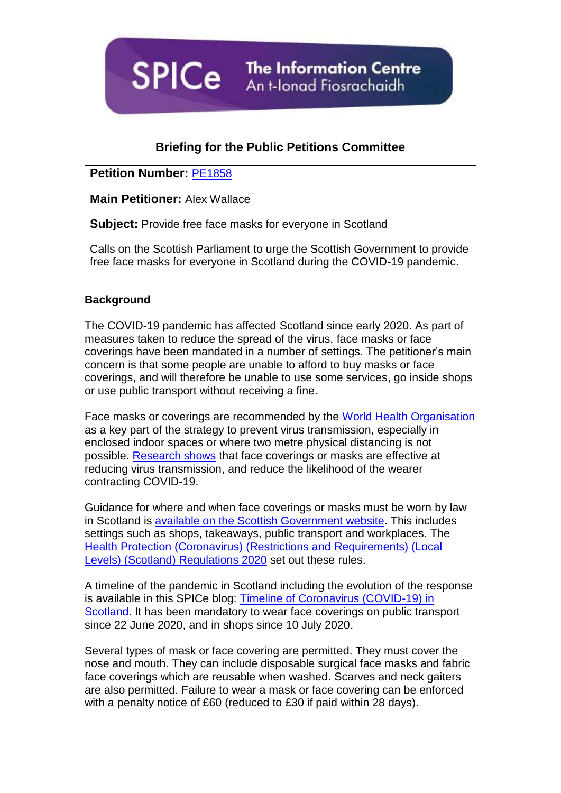**SPICe** The Information Centre

# **Briefing for the Public Petitions Committee**

## **Petition Number:** [PE1858](https://archive2021.parliament.scot/gettinginvolved/Petitions/PE01858)

**Main Petitioner:** Alex Wallace

**Subject:** Provide free face masks for everyone in Scotland

Calls on the Scottish Parliament to urge the Scottish Government to provide free face masks for everyone in Scotland during the COVID-19 pandemic.

### **Background**

The COVID-19 pandemic has affected Scotland since early 2020. As part of measures taken to reduce the spread of the virus, face masks or face coverings have been mandated in a number of settings. The petitioner's main concern is that some people are unable to afford to buy masks or face coverings, and will therefore be unable to use some services, go inside shops or use public transport without receiving a fine.

Face masks or coverings are recommended by the [World Health Organisation](https://www.who.int/emergencies/diseases/novel-coronavirus-2019/advice-for-public/when-and-how-to-use-masks) as a key part of the strategy to prevent virus transmission, especially in enclosed indoor spaces or where two metre physical distancing is not possible. [Research shows](https://royalsociety.org/-/media/policy/projects/set-c/set-c-facemasks.pdf?la=en-GB&hash=A22A87CB28F7D6AD9BD93BBCBFC2BB24) that face coverings or masks are effective at reducing virus transmission, and reduce the likelihood of the wearer contracting COVID-19.

Guidance for where and when face coverings or masks must be worn by law in Scotland is [available on the Scottish Government website.](https://www.gov.scot/publications/coronavirus-covid-19-public-use-of-face-coverings/) This includes settings such as shops, takeaways, public transport and workplaces. The [Health Protection \(Coronavirus\) \(Restrictions and Requirements\) \(Local](https://www.legislation.gov.uk/ssi/2020/344/schedule/7/made)  [Levels\) \(Scotland\) Regulations 2020](https://www.legislation.gov.uk/ssi/2020/344/schedule/7/made) set out these rules.

A timeline of the pandemic in Scotland including the evolution of the response is available in this SPICe blog: [Timeline of Coronavirus \(COVID-19\) in](https://spice-spotlight.scot/2021/03/19/timeline-of-coronavirus-covid-19-in-scotland/)  [Scotland.](https://spice-spotlight.scot/2021/03/19/timeline-of-coronavirus-covid-19-in-scotland/) It has been mandatory to wear face coverings on public transport since 22 June 2020, and in shops since 10 July 2020.

Several types of mask or face covering are permitted. They must cover the nose and mouth. They can include disposable surgical face masks and fabric face coverings which are reusable when washed. Scarves and neck gaiters are also permitted. Failure to wear a mask or face covering can be enforced with a penalty notice of £60 (reduced to £30 if paid within 28 days).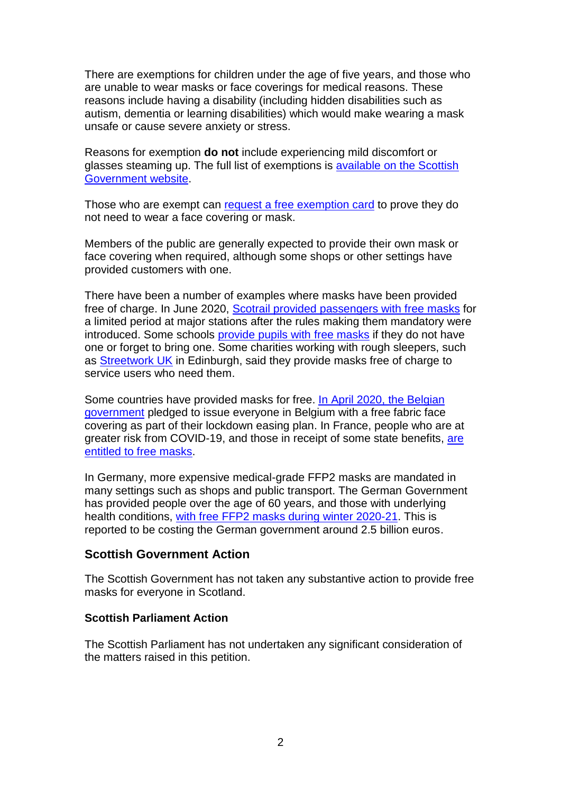There are exemptions for children under the age of five years, and those who are unable to wear masks or face coverings for medical reasons. These reasons include having a disability (including hidden disabilities such as autism, dementia or learning disabilities) which would make wearing a mask unsafe or cause severe anxiety or stress.

Reasons for exemption **do not** include experiencing mild discomfort or glasses steaming up. The full list of exemptions is [available on the Scottish](https://www.gov.scot/publications/coronavirus-covid-19-public-use-of-face-coverings/)  [Government website.](https://www.gov.scot/publications/coronavirus-covid-19-public-use-of-face-coverings/)

Those who are exempt can [request a free exemption card](http://exempt.scot/) to prove they do not need to wear a face covering or mask.

Members of the public are generally expected to provide their own mask or face covering when required, although some shops or other settings have provided customers with one.

There have been a number of examples where masks have been provided free of charge. In June 2020, [Scotrail provided passengers with free masks](https://www.scotrail.co.uk/about-scotrail/news/if-your-journey-essential-so-covering-your-face#:~:text=To%20support%20customers%2C%20face%20masks,them%2C%20and%20customers%2C%20safe.) for a limited period at major stations after the rules making them mandatory were introduced. Some schools [provide pupils with free masks](https://www.bbc.co.uk/news/uk-scotland-edinburgh-east-fife-53876475) if they do not have one or forget to bring one. Some charities working with rough sleepers, such as **Streetwork UK** in Edinburgh, said they provide masks free of charge to service users who need them.

Some countries have provided masks for free. [In April 2020, the Belgian](https://www.euronews.com/2020/04/25/belgian-government-pledges-free-masks-for-everyone-as-part-of-its-covid-19-lockdown-exit-s)  [government](https://www.euronews.com/2020/04/25/belgian-government-pledges-free-masks-for-everyone-as-part-of-its-covid-19-lockdown-exit-s) pledged to issue everyone in Belgium with a free fabric face covering as part of their lockdown easing plan. In France, people who are at greater risk from COVID-19, and those in receipt of some state benefits, [are](1.%09https:/www.thelocal.fr/20200903/explained-who-is-entitled-to-free-face-masks-in-france/)  [entitled to free masks.](1.%09https:/www.thelocal.fr/20200903/explained-who-is-entitled-to-free-face-masks-in-france/)

In Germany, more expensive medical-grade FFP2 masks are mandated in many settings such as shops and public transport. The German Government has provided people over the age of 60 years, and those with underlying health conditions, [with free FFP2 masks during winter 2020-21.](https://www.thelocal.de/20201217/where-and-how-these-risk-groups-in-germany-can-get-free-ff2p-masks/) This is reported to be costing the German government around 2.5 billion euros.

### **Scottish Government Action**

The Scottish Government has not taken any substantive action to provide free masks for everyone in Scotland.

### **Scottish Parliament Action**

The Scottish Parliament has not undertaken any significant consideration of the matters raised in this petition.